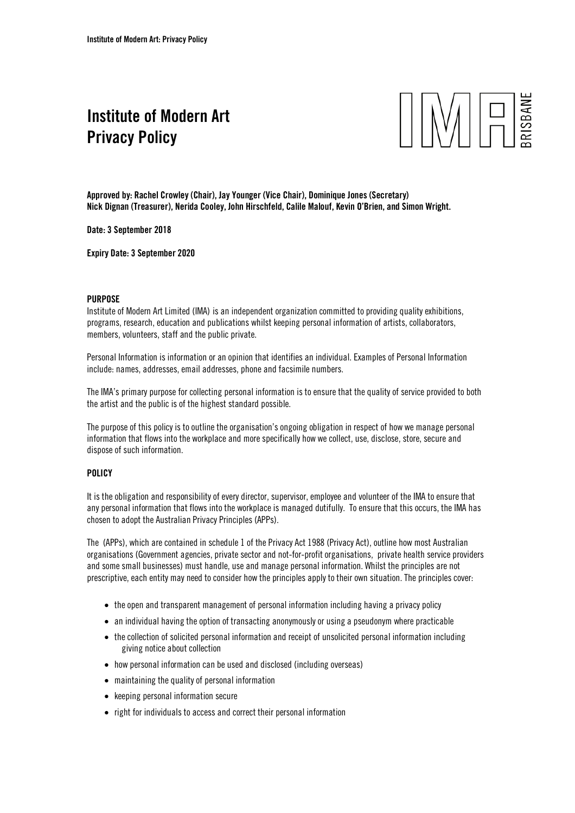## Institute of Modern Art Privacy Policy



Approved by: Rachel Crowley (Chair), Jay Younger (Vice Chair), Dominique Jones (Secretary) Nick Dignan (Treasurer), Nerida Cooley, John Hirschfeld, Calile Malouf, Kevin O'Brien, and Simon Wright.

Date: 3 September 2018

Expiry Date: 3 September 2020

## PURPOSE

Institute of Modern Art Limited (IMA) is an independent organization committed to providing quality exhibitions, programs, research, education and publications whilst keeping personal information of artists, collaborators, members, volunteers, staff and the public private.

Personal Information is information or an opinion that identifies an individual. Examples of Personal Information include: names, addresses, email addresses, phone and facsimile numbers.

The IMA's primary purpose for collecting personal information is to ensure that the quality of service provided to both the artist and the public is of the highest standard possible.

The purpose of this policy is to outline the organisation's ongoing obligation in respect of how we manage personal information that flows into the workplace and more specifically how we collect, use, disclose, store, secure and dispose of such information.

## **POLICY**

It is the obligation and responsibility of every director, supervisor, employee and volunteer of the IMA to ensure that any personal information that flows into the workplace is managed dutifully. To ensure that this occurs, the IMA has chosen to adopt the Australian Privacy Principles (APPs).

The (APPs), which are contained in schedule 1 of the Privacy Act 1988 (Privacy Act), outline how most Australian organisations (Government agencies, private sector and not-for-profit organisations, private health service providers and some small businesses) must handle, use and manage personal information. Whilst the principles are not prescriptive, each entity may need to consider how the principles apply to their own situation. The principles cover:

- the open and transparent management of personal information including having a privacy policy
- an individual having the option of transacting anonymously or using a pseudonym where practicable
- the collection of solicited personal information and receipt of unsolicited personal information including giving notice about collection
- how personal information can be used and disclosed (including overseas)
- maintaining the quality of personal information
- keeping personal information secure
- right for individuals to access and correct their personal information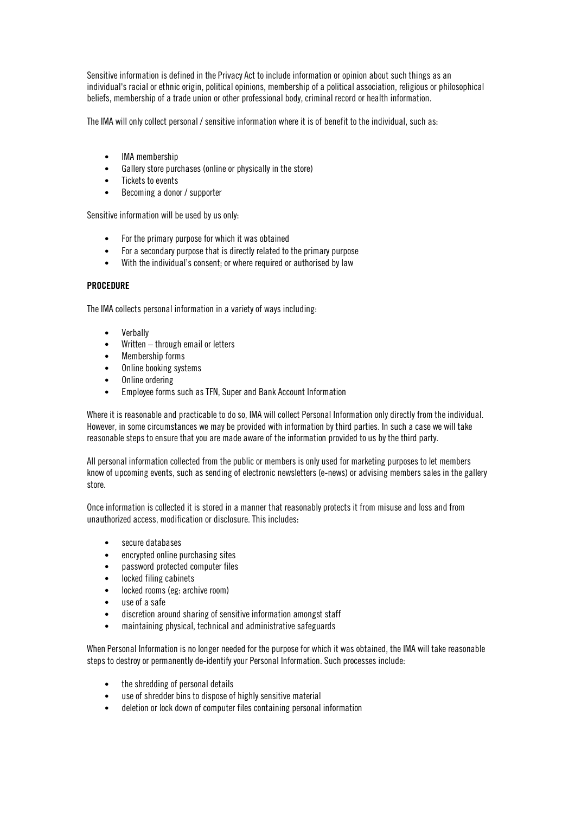Sensitive information is defined in the Privacy Act to include information or opinion about such things as an individual's racial or ethnic origin, political opinions, membership of a political association, religious or philosophical beliefs, membership of a trade union or other professional body, criminal record or health information.

The IMA will only collect personal / sensitive information where it is of benefit to the individual, such as:

- IMA membership
- Gallery store purchases (online or physically in the store)
- Tickets to events
- Becoming a donor / supporter

Sensitive information will be used by us only:

- For the primary purpose for which it was obtained
- For a secondary purpose that is directly related to the primary purpose
- With the individual's consent; or where required or authorised by law

## PROCEDURE

The IMA collects personal information in a variety of ways including:

- Verbally
- Written through email or letters
- Membership forms
- Online booking systems
- Online ordering
- Employee forms such as TFN, Super and Bank Account Information

Where it is reasonable and practicable to do so, IMA will collect Personal Information only directly from the individual. However, in some circumstances we may be provided with information by third parties. In such a case we will take reasonable steps to ensure that you are made aware of the information provided to us by the third party.

All personal information collected from the public or members is only used for marketing purposes to let members know of upcoming events, such as sending of electronic newsletters (e-news) or advising members sales in the gallery store.

Once information is collected it is stored in a manner that reasonably protects it from misuse and loss and from unauthorized access, modification or disclosure. This includes:

- secure databases
- encrypted online purchasing sites
- password protected computer files
- locked filing cabinets
- locked rooms (eg: archive room)
- use of a safe
- discretion around sharing of sensitive information amongst staff
- maintaining physical, technical and administrative safeguards

When Personal Information is no longer needed for the purpose for which it was obtained, the IMA will take reasonable steps to destroy or permanently de-identify your Personal Information. Such processes include:

- the shredding of personal details
- use of shredder bins to dispose of highly sensitive material
- deletion or lock down of computer files containing personal information